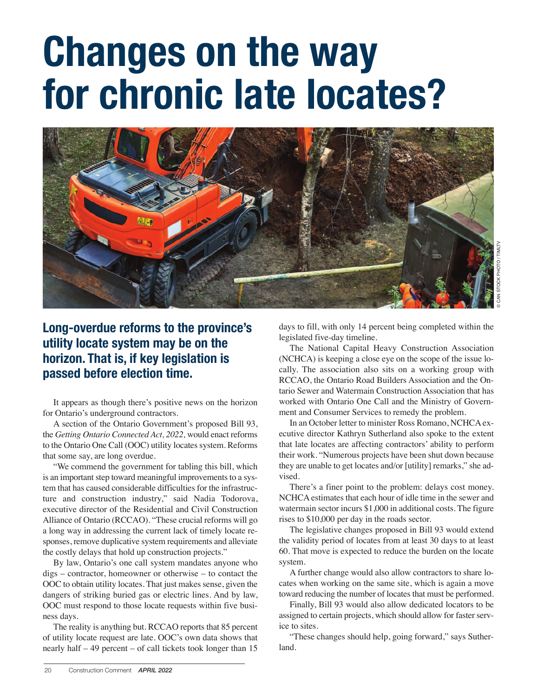## **Changes on the way for chronic late locates?**



**Long-overdue reforms to the province's utility locate system may be on the horizon. That is, if key legislation is passed before election time.**

It appears as though there's positive news on the horizon for Ontario's underground contractors.

A section of the Ontario Government's proposed Bill 93, the *Getting Ontario Connected Act, 2022,* would enact reforms to the Ontario One Call (OOC) utility locates system. Reforms that some say, are long overdue.

"We commend the government for tabling this bill, which is an important step toward meaningful improvements to a system that has caused considerable difficulties for the infrastructure and construction industry," said Nadia Todorova, executive director of the Residential and Civil Construction Alliance of Ontario (RCCAO). "These crucial reforms will go a long way in addressing the current lack of timely locate responses, remove duplicative system requirements and alleviate the costly delays that hold up construction projects."

By law, Ontario's one call system mandates anyone who digs – contractor, homeowner or otherwise – to contact the OOC to obtain utility locates. That just makes sense, given the dangers of striking buried gas or electric lines. And by law, OOC must respond to those locate requests within five business days.

The reality is anything but. RCCAO reports that 85 percent of utility locate request are late. OOC's own data shows that nearly half – 49 percent – of call tickets took longer than 15

days to fill, with only 14 percent being completed within the legislated five-day timeline.

The National Capital Heavy Construction Association (NCHCA) is keeping a close eye on the scope of the issue locally. The association also sits on a working group with RCCAO, the Ontario Road Builders Association and the Ontario Sewer and Watermain Construction Association that has worked with Ontario One Call and the Ministry of Government and Consumer Services to remedy the problem.

In an October letter to minister Ross Romano, NCHCA executive director Kathryn Sutherland also spoke to the extent that late locates are affecting contractors' ability to perform their work. "Numerous projects have been shut down because they are unable to get locates and/or [utility] remarks," she advised.

There's a finer point to the problem: delays cost money. NCHCA estimates that each hour of idle time in the sewer and watermain sector incurs \$1,000 in additional costs. The figure rises to \$10,000 per day in the roads sector.

The legislative changes proposed in Bill 93 would extend the validity period of locates from at least 30 days to at least 60. That move is expected to reduce the burden on the locate system.

A further change would also allow contractors to share locates when working on the same site, which is again a move toward reducing the number of locates that must be performed.

Finally, Bill 93 would also allow dedicated locators to be assigned to certain projects, which should allow for faster service to sites.

"These changes should help, going forward," says Sutherland.